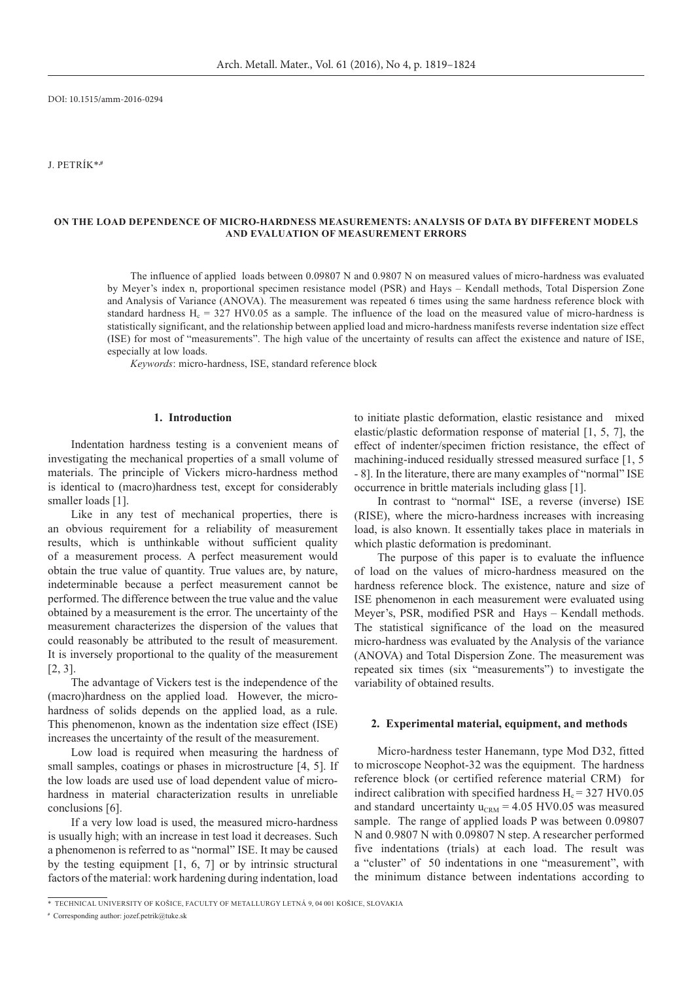DOI: 10.1515/amm-2016-0294

J. Petrík\***,#** 

### **On the load dependence of micro-hardness measurements: analysis of data by different models and evaluation of measurement errors**

The influence of applied loads between 0.09807 N and 0.9807 N on measured values of micro-hardness was evaluated by Meyer's index n, proportional specimen resistance model (PSR) and Hays – Kendall methods, Total Dispersion Zone and Analysis of Variance (ANOVA). The measurement was repeated 6 times using the same hardness reference block with standard hardness  $H_c = 327$  HV0.05 as a sample. The influence of the load on the measured value of micro-hardness is statistically significant, and the relationship between applied load and micro-hardness manifests reverse indentation size effect (ISE) for most of "measurements". The high value of the uncertainty of results can affect the existence and nature of ISE, especially at low loads.

*Keywords*: micro-hardness, ISE, standard reference block

### **1. Introduction**

Indentation hardness testing is a convenient means of investigating the mechanical properties of a small volume of materials. The principle of Vickers micro-hardness method is identical to (macro)hardness test, except for considerably smaller loads [1].

Like in any test of mechanical properties, there is an obvious requirement for a reliability of measurement results, which is unthinkable without sufficient quality of a measurement process. A perfect measurement would obtain the true value of quantity. True values are, by nature, indeterminable because a perfect measurement cannot be performed. The difference between the true value and the value obtained by a measurement is the error. The uncertainty of the measurement characterizes the dispersion of the values that could reasonably be attributed to the result of measurement. It is inversely proportional to the quality of the measurement [2, 3].

The advantage of Vickers test is the independence of the (macro)hardness on the applied load. However, the microhardness of solids depends on the applied load, as a rule. This phenomenon, known as the indentation size effect (ISE) increases the uncertainty of the result of the measurement.

Low load is required when measuring the hardness of small samples, coatings or phases in microstructure [4, 5]. If the low loads are used use of load dependent value of microhardness in material characterization results in unreliable conclusions [6].

If a very low load is used, the measured micro-hardness is usually high; with an increase in test load it decreases. Such a phenomenon is referred to as "normal" ISE. It may be caused by the testing equipment [1, 6, 7] or by intrinsic structural factors of the material: work hardening during indentation, load

to initiate plastic deformation, elastic resistance and mixed elastic/plastic deformation response of material [1, 5, 7], the effect of indenter/specimen friction resistance, the effect of machining-induced residually stressed measured surface [1, 5 - 8]. In the literature, there are many examples of "normal" ISE occurrence in brittle materials including glass [1].

In contrast to "normal" ISE, a reverse (inverse) ISE (RISE), where the micro-hardness increases with increasing load, is also known. It essentially takes place in materials in which plastic deformation is predominant.

The purpose of this paper is to evaluate the influence of load on the values of micro-hardness measured on the hardness reference block. The existence, nature and size of ISE phenomenon in each measurement were evaluated using Meyer's, PSR, modified PSR and Hays – Kendall methods. The statistical significance of the load on the measured micro-hardness was evaluated by the Analysis of the variance (ANOVA) and Total Dispersion Zone. The measurement was repeated six times (six "measurements") to investigate the variability of obtained results.

### **2. Experimental material, equipment, and methods**

Micro-hardness tester Hanemann, type Mod D32, fitted to microscope Neophot-32 was the equipment. The hardness reference block (or certified reference material CRM) for indirect calibration with specified hardness  $H<sub>c</sub> = 327$  HV0.05 and standard uncertainty  $u_{\text{CRM}} = 4.05 \text{ HV}0.05$  was measured sample. The range of applied loads P was between 0.09807 N and 0.9807 N with 0.09807 N step. A researcher performed five indentations (trials) at each load. The result was a "cluster" of 50 indentations in one "measurement", with the minimum distance between indentations according to

<sup>\*</sup> Technical University of Košice, Faculty of Metallurgy Letná 9, 04 001 Košice, Slovakia

**<sup>#</sup>** Corresponding author: jozef.petrik@tuke.sk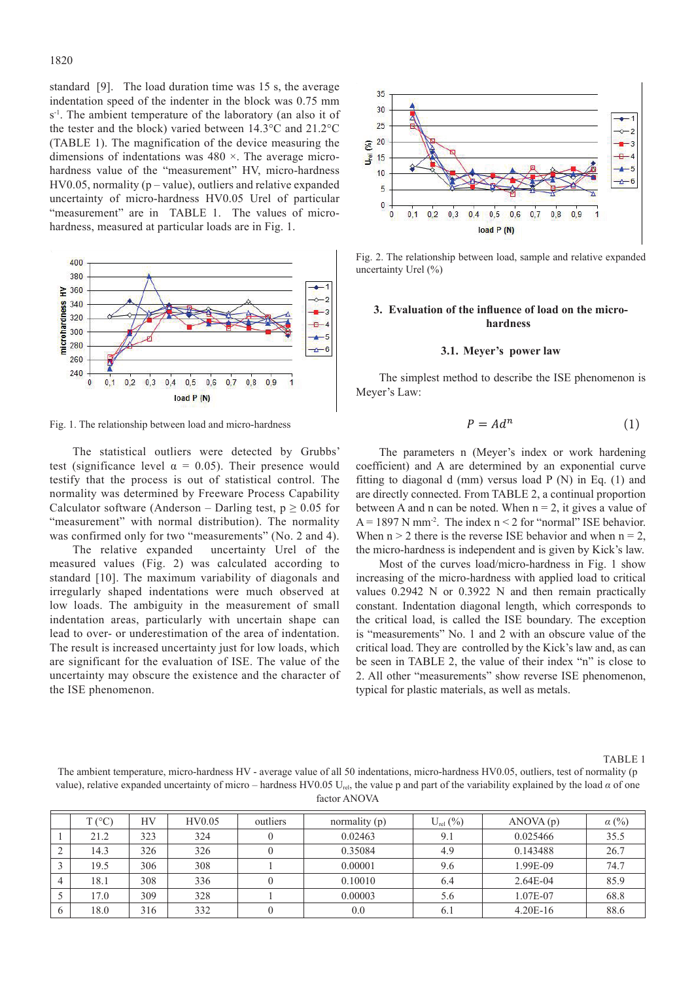standard [9]. The load duration time was 15 s, the average indentation speed of the indenter in the block was 0.75 mm s<sup>-1</sup>. The ambient temperature of the laboratory (an also it of the tester and the block) varied between 14.3°C and 21.2°C (TABLE 1). The magnification of the device measuring the dimensions of indentations was 480 ×. The average microhardness value of the "measurement" HV, micro-hardness  $HV0.05$ , normality ( $p$  – value), outliers and relative expanded uncertainty of micro-hardness HV0.05 Urel of particular "measurement" are in TABLE 1. The values of microhardness, measured at particular loads are in Fig. 1.



Fig. 1. The relationship between load and micro-hardness

The statistical outliers were detected by Grubbs' test (significance level  $\alpha = 0.05$ ). Their presence would testify that the process is out of statistical control. The normality was determined by Freeware Process Capability Calculator software (Anderson – Darling test,  $p \ge 0.05$  for "measurement" with normal distribution). The normality was confirmed only for two "measurements" (No. 2 and 4).

The relative expanded uncertainty Urel of the measured values (Fig. 2) was calculated according to standard [10]. The maximum variability of diagonals and irregularly shaped indentations were much observed at low loads. The ambiguity in the measurement of small indentation areas, particularly with uncertain shape can lead to over- or underestimation of the area of indentation. The result is increased uncertainty just for low loads, which are significant for the evaluation of ISE. The value of the uncertainty may obscure the existence and the character of the ISE phenomenon.



Fig. 2. The relationship between load, sample and relative expanded uncertainty Urel (%)

## **3. Evaluation of the influence of load on the microhardness**

## **3.1. Meyer's power law**

The simplest method to describe the ISE phenomenon is Meyer's Law:

$$
P = Ad^n \tag{1}
$$

The parameters n (Meyer's index or work hardening coefficient) and A are determined by an exponential curve fitting to diagonal d (mm) versus load  $P(N)$  in Eq. (1) and are directly connected. From TABLE 2, a continual proportion between A and n can be noted. When  $n = 2$ , it gives a value of  $A = 1897$  N mm<sup>-2</sup>. The index  $n < 2$  for "normal" ISE behavior. When  $n > 2$  there is the reverse ISE behavior and when  $n = 2$ , the micro-hardness is independent and is given by Kick's law.

Most of the curves load/micro-hardness in Fig. 1 show increasing of the micro-hardness with applied load to critical values 0.2942 N or 0.3922 N and then remain practically constant. Indentation diagonal length, which corresponds to the critical load, is called the ISE boundary. The exception is "measurements" No. 1 and 2 with an obscure value of the critical load. They are controlled by the Kick's law and, as can be seen in TABLE 2, the value of their index "n" is close to 2. All other "measurements" show reverse ISE phenomenon, typical for plastic materials, as well as metals.

TABLE 1

The ambient temperature, micro-hardness HV - average value of all 50 indentations, micro-hardness HV0.05, outliers, test of normality (p value), relative expanded uncertainty of micro – hardness HV0.05 U<sub>rs</sub>, the value p and part of the variability explained by the load  $\alpha$  of one factor ANOVA

| $T(^{\circ}C)$ | HV  | HV0.05 | outliers | normality (p) | $U_{rel}(\%)$ | ANOVA(p)   | $\alpha$ (%) |
|----------------|-----|--------|----------|---------------|---------------|------------|--------------|
| 21.2           | 323 | 324    |          | 0.02463       | 9.1           | 0.025466   | 35.5         |
| 14.3           | 326 | 326    |          | 0.35084       | 4.9           | 0.143488   | 26.7         |
| 19.5           | 306 | 308    |          | 0.00001       | 9.6           | 1.99E-09   | 74.7         |
| 18.1           | 308 | 336    |          | 0.10010       | 6.4           | $2.64E-04$ | 85.9         |
| 17.0           | 309 | 328    |          | 0.00003       | 5.6           | 1.07E-07   | 68.8         |
| 18.0           | 316 | 332    |          | 0.0           | 6.1           | $4.20E-16$ | 88.6         |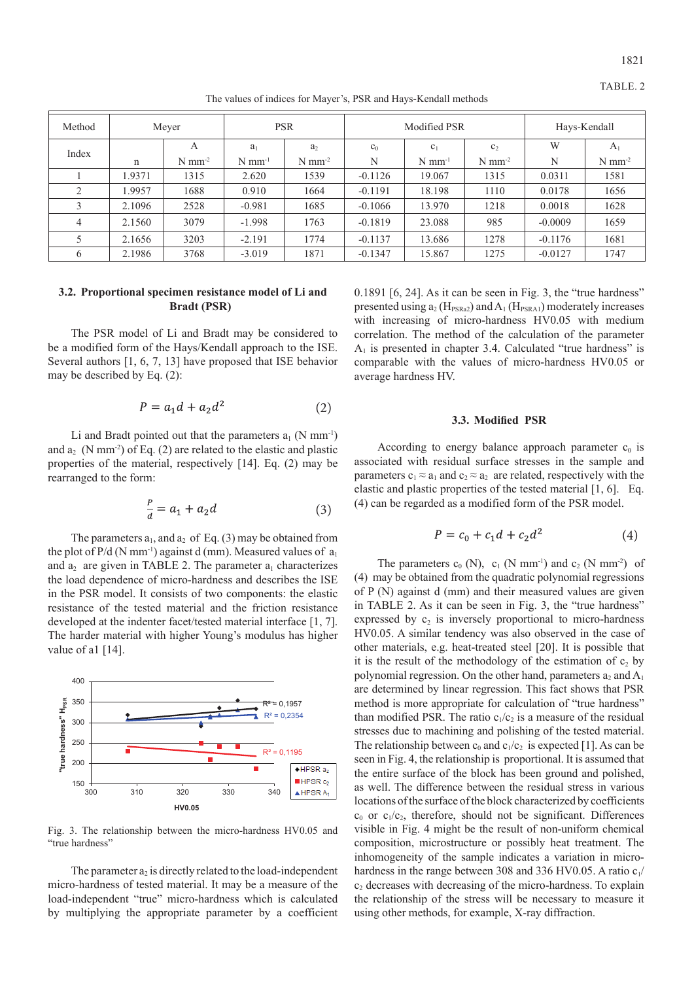1821

| Method         | Meyer       |                      | <b>PSR</b>           |                      | Modified PSR |                      |                      | Hays-Kendall |                      |
|----------------|-------------|----------------------|----------------------|----------------------|--------------|----------------------|----------------------|--------------|----------------------|
| Index          |             | A                    | a <sub>1</sub>       | a <sub>2</sub>       | $c_0$        | c <sub>1</sub>       | c <sub>2</sub>       | W            | A <sub>1</sub>       |
|                | $\mathbf n$ | $N$ mm <sup>-2</sup> | $N$ mm <sup>-1</sup> | $N$ mm <sup>-2</sup> | N            | $N$ mm <sup>-1</sup> | $N$ mm <sup>-2</sup> | N            | $N$ mm <sup>-2</sup> |
|                | 1.9371      | 1315                 | 2.620                | 1539                 | $-0.1126$    | 19.067               | 1315                 | 0.0311       | 1581                 |
| $\bigcirc$     | 1.9957      | 1688                 | 0.910                | 1664                 | $-0.1191$    | 18.198               | 1110                 | 0.0178       | 1656                 |
| 3              | 2.1096      | 2528                 | $-0.981$             | 1685                 | $-0.1066$    | 13.970               | 1218                 | 0.0018       | 1628                 |
| $\overline{4}$ | 2.1560      | 3079                 | $-1.998$             | 1763                 | $-0.1819$    | 23.088               | 985                  | $-0.0009$    | 1659                 |
|                | 2.1656      | 3203                 | $-2.191$             | 1774                 | $-0.1137$    | 13.686               | 1278                 | $-0.1176$    | 1681                 |
| 6              | 2.1986      | 3768                 | $-3.019$             | 1871                 | $-0.1347$    | 15.867               | 1275                 | $-0.0127$    | 1747                 |

The values of indices for Mayer's, PSR and Hays-Kendall methods

## **3.2. Proportional specimen resistance model of Li and Bradt (PSR)**

The PSR model of Li and Bradt may be considered to be a modified form of the Hays/Kendall approach to the ISE. Several authors [1, 6, 7, 13] have proposed that ISE behavior may be described by Eq. (2):

$$
P = a_1 d + a_2 d^2 \tag{2}
$$

Li and Bradt pointed out that the parameters  $a_1$  (N mm<sup>-1</sup>) and  $a_2$  (N mm<sup>-2</sup>) of Eq. (2) are related to the elastic and plastic properties of the material, respectively [14]. Eq. (2) may be rearranged to the form:

$$
\frac{P}{d} = a_1 + a_2 d \tag{3}
$$

The parameters  $a_1$ , and  $a_2$  of Eq. (3) may be obtained from the plot of P/d (N mm<sup>-1</sup>) against d (mm). Measured values of  $a_1$ and  $a_2$  are given in TABLE 2. The parameter  $a_1$  characterizes the load dependence of micro-hardness and describes the ISE in the PSR model. It consists of two components: the elastic resistance of the tested material and the friction resistance developed at the indenter facet/tested material interface [1, 7]. The harder material with higher Young's modulus has higher value of al [14].



"true hardness" Fig. 3. The relationship between the micro-hardness HV0.05 and

The parameter  $a_2$  is directly related to the load-independent micro-hardness of tested material. It may be a measure of the load-independent "true" micro-hardness which is calculated by multiplying the appropriate parameter by a coefficient

0.1891 [6, 24]. As it can be seen in Fig. 3, the "true hardness" presented using  $a_2$  (H<sub>PSRa2</sub>) and  $A_1$  (H<sub>PSRA1</sub>) moderately increases with increasing of micro-hardness HV0.05 with medium correlation. The method of the calculation of the parameter  $A<sub>1</sub>$  is presented in chapter 3.4. Calculated "true hardness" is comparable with the values of micro-hardness HV0.05 or average hardness HV.

#### **3.3. Modified PSR**

According to energy balance approach parameter  $c_0$  is associated with residual surface stresses in the sample and parameters  $c_1 \approx a_1$  and  $c_2 \approx a_2$  are related, respectively with the elastic and plastic properties of the tested material [1, 6]. Eq. (4) can be regarded as a modified form of the PSR model.

$$
P = c_0 + c_1 d + c_2 d^2 \tag{4}
$$

The parameters  $c_0$  (N),  $c_1$  (N mm<sup>-1</sup>) and  $c_2$  (N mm<sup>-2</sup>) of (4) may be obtained from the quadratic polynomial regressions of P (N) against d (mm) and their measured values are given in TABLE 2. As it can be seen in Fig. 3, the "true hardness" expressed by  $c_2$  is inversely proportional to micro-hardness HV0.05. A similar tendency was also observed in the case of other materials, e.g. heat-treated steel [20]. It is possible that it is the result of the methodology of the estimation of  $c_2$  by polynomial regression. On the other hand, parameters  $a_2$  and  $A_1$ are determined by linear regression. This fact shows that PSR method is more appropriate for calculation of "true hardness" than modified PSR. The ratio  $c_1/c_2$  is a measure of the residual stresses due to machining and polishing of the tested material. The relationship between  $c_0$  and  $c_1/c_2$  is expected [1]. As can be seen in Fig. 4, the relationship is proportional. It is assumed that the entire surface of the block has been ground and polished, as well. The difference between the residual stress in various locations of the surface of the block characterized by coefficients  $c_0$  or  $c_1/c_2$ , therefore, should not be significant. Differences visible in Fig. 4 might be the result of non-uniform chemical composition, microstructure or possibly heat treatment. The inhomogeneity of the sample indicates a variation in microhardness in the range between 308 and 336 HV0.05. A ratio  $c_1/$  $c<sub>2</sub>$  decreases with decreasing of the micro-hardness. To explain the relationship of the stress will be necessary to measure it using other methods, for example, X-ray diffraction.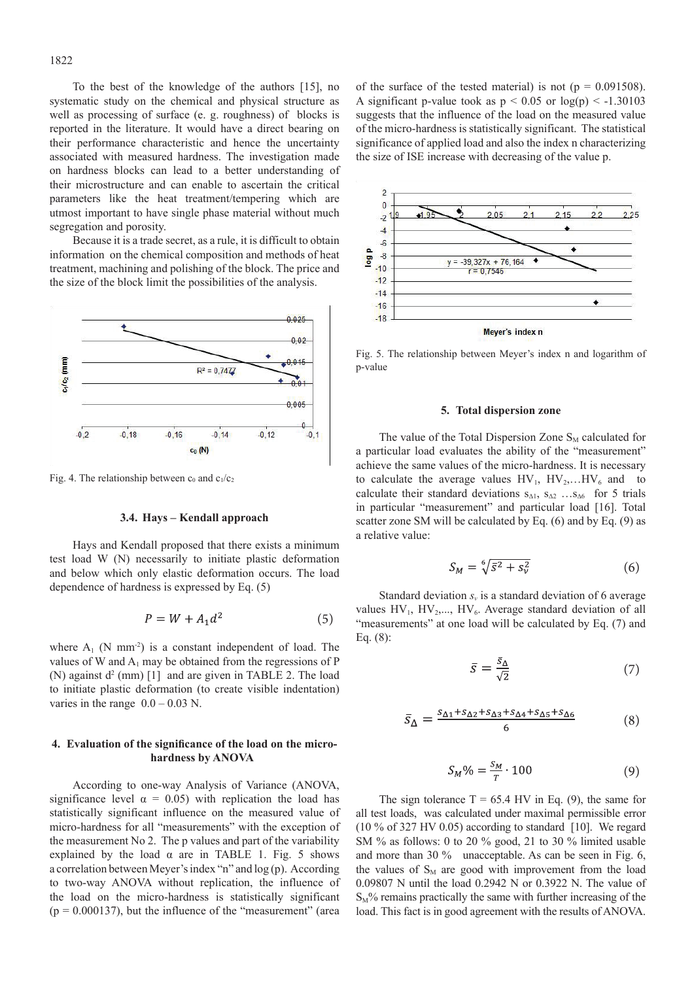To the best of the knowledge of the authors [15], no

1822

systematic study on the chemical and physical structure as well as processing of surface (e. g. roughness) of blocks is reported in the literature. It would have a direct bearing on their performance characteristic and hence the uncertainty associated with measured hardness. The investigation made on hardness blocks can lead to a better understanding of their microstructure and can enable to ascertain the critical parameters like the heat treatment/tempering which are utmost important to have single phase material without much segregation and porosity.

Because it is a trade secret, as a rule, it is difficult to obtain information on the chemical composition and methods of heat treatment, machining and polishing of the block. The price and the size of the block limit the possibilities of the analysis.



Fig. 4. The relationship between  $c_0$  and  $c_1/c_2$ 

## **3.4. Hays – Kendall approach**

Hays and Kendall proposed that there exists a minimum test load W (N) necessarily to initiate plastic deformation and below which only elastic deformation occurs. The load dependence of hardness is expressed by Eq. (5)

$$
P = W + A_1 d^2 \tag{5}
$$

where  $A_1$  (N mm<sup>-2</sup>) is a constant independent of load. The values of W and  $A_1$  may be obtained from the regressions of P (N) against  $d^2$  (mm) [1] and are given in TABLE 2. The load to initiate plastic deformation (to create visible indentation) varies in the range  $0.0 - 0.03$  N.

# **4. Evaluation of the significance of the load on the microhardness by ANOVA**

According to one-way Analysis of Variance (ANOVA, significance level  $\alpha = 0.05$ ) with replication the load has statistically significant influence on the measured value of micro-hardness for all "measurements" with the exception of the measurement No 2. The p values and part of the variability explained by the load  $\alpha$  are in TABLE 1. Fig. 5 shows a correlation between Meyer's index "n" and log (p). According to two-way ANOVA without replication, the influence of the load on the micro-hardness is statistically significant  $(p = 0.000137)$ , but the influence of the "measurement" (area

of the surface of the tested material) is not ( $p = 0.091508$ ). A significant p-value took as  $p < 0.05$  or  $log(p) < -1.30103$ suggests that the influence of the load on the measured value of the micro-hardness is statistically significant. The statistical significance of applied load and also the index n characterizing the size of ISE increase with decreasing of the value p.



Fig. 5. The relationship between Meyer's index n and logarithm of p-value

#### **5. Total dispersion zone**

The value of the Total Dispersion Zone  $S_M$  calculated for a particular load evaluates the ability of the "measurement" achieve the same values of the micro-hardness. It is necessary to calculate the average values  $HV_1$ ,  $HV_2$ ,... $HV_6$  and to calculate their standard deviations  $s_{\Delta 1}$ ,  $s_{\Delta 2}$  … $s_{\Delta 6}$  for 5 trials in particular "measurement" and particular load [16]. Total scatter zone SM will be calculated by Eq. (6) and by Eq. (9) as a relative value:

$$
S_M = \sqrt[6]{\bar{s}^2 + s_v^2} \tag{6}
$$

Standard deviation *s<sub>v</sub>* is a standard deviation of 6 average values  $HV_1$ ,  $HV_2$ ,...,  $HV_6$ . Average standard deviation of all "measurements" at one load will be calculated by Eq. (7) and Eq. (8):

$$
\bar{s} = \frac{\bar{s}_{\Delta}}{\sqrt{2}}\tag{7}
$$

$$
\bar{S}_{\Delta} = \frac{s_{\Delta 1} + s_{\Delta 2} + s_{\Delta 3} + s_{\Delta 4} + s_{\Delta 5} + s_{\Delta 6}}{6} \tag{8}
$$

$$
S_M\% = \frac{S_M}{T} \cdot 100\tag{9}
$$

The sign tolerance  $T = 65.4$  HV in Eq. (9), the same for all test loads, was calculated under maximal permissible error (10 % of 327 HV 0.05) according to standard [10]. We regard SM % as follows: 0 to 20 % good, 21 to 30 % limited usable and more than 30 % unacceptable. As can be seen in Fig. 6, the values of  $S_M$  are good with improvement from the load 0.09807 N until the load 0.2942 N or 0.3922 N. The value of  $S_M$ % remains practically the same with further increasing of the load. This fact is in good agreement with the results of ANOVA.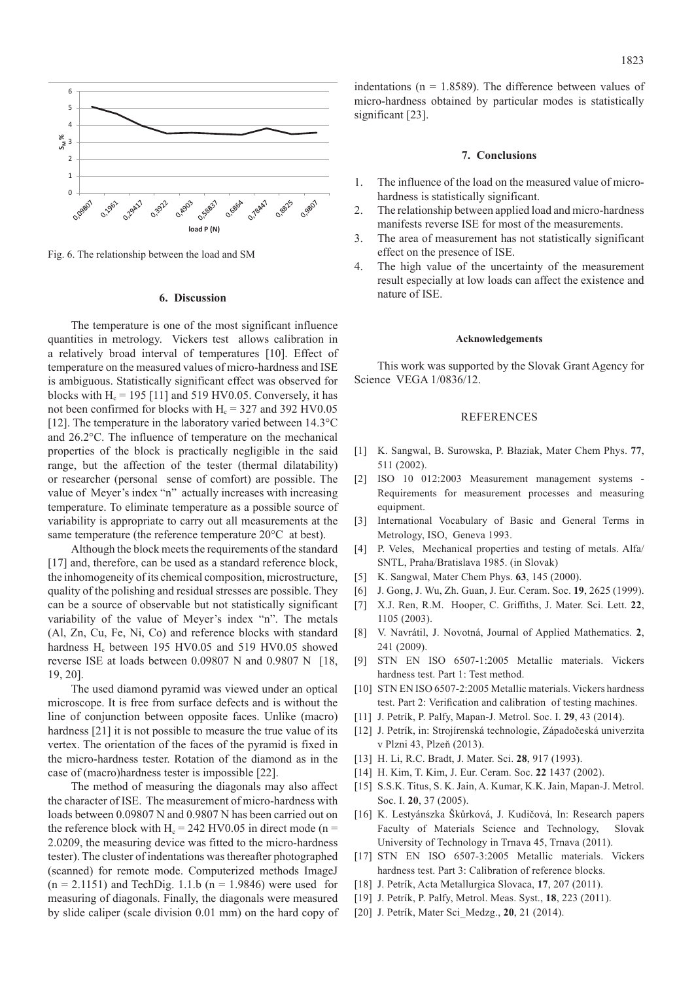

fig. 6. The relationship between the load and SM Fig. 6. The relationship between the load and SM

## **6. Discussion**

The temperature is one of the most significant influence quantities in metrology. Vickers test allows calibration in a relatively broad interval of temperatures [10]. Effect of temperature on the measured values of micro-hardness and ISE is ambiguous. Statistically significant effect was observed for blocks with  $H_c = 195$  [11] and 519 HV0.05. Conversely, it has not been confirmed for blocks with  $H<sub>c</sub> = 327$  and 392 HV0.05 [12]. The temperature in the laboratory varied between  $14.3^{\circ}$ C and 26.2°C. The influence of temperature on the mechanical properties of the block is practically negligible in the said range, but the affection of the tester (thermal dilatability) or researcher (personal sense of comfort) are possible. The value of Meyer's index "n" actually increases with increasing temperature. To eliminate temperature as a possible source of variability is appropriate to carry out all measurements at the same temperature (the reference temperature 20°C at best).

Although the block meets the requirements of the standard [17] and, therefore, can be used as a standard reference block, the inhomogeneity of its chemical composition, microstructure, quality of the polishing and residual stresses are possible. They can be a source of observable but not statistically significant variability of the value of Meyer's index "n". The metals (Al, Zn, Cu, Fe, Ni, Co) and reference blocks with standard hardness  $H_c$  between 195 HV0.05 and 519 HV0.05 showed reverse ISE at loads between 0.09807 N and 0.9807 N [18, 19, 20].

The used diamond pyramid was viewed under an optical microscope. It is free from surface defects and is without the line of conjunction between opposite faces. Unlike (macro) hardness [21] it is not possible to measure the true value of its vertex. The orientation of the faces of the pyramid is fixed in the micro-hardness tester. Rotation of the diamond as in the case of (macro)hardness tester is impossible [22].

The method of measuring the diagonals may also affect the character of ISE. The measurement of micro-hardness with loads between 0.09807 N and 0.9807 N has been carried out on the reference block with  $H_c = 242$  HV0.05 in direct mode (n = 2.0209, the measuring device was fitted to the micro-hardness tester). The cluster of indentations was thereafter photographed (scanned) for remote mode. Computerized methods ImageJ  $(n = 2.1151)$  and TechDig. 1.1.b  $(n = 1.9846)$  were used for measuring of diagonals. Finally, the diagonals were measured by slide caliper (scale division 0.01 mm) on the hard copy of indentations ( $n = 1.8589$ ). The difference between values of micro-hardness obtained by particular modes is statistically significant [23].

#### **7. Conclusions**

- 1. The influence of the load on the measured value of microhardness is statistically significant.
- 2. The relationship between applied load and micro-hardness manifests reverse ISE for most of the measurements.
- 3. The area of measurement has not statistically significant effect on the presence of ISE.
- 4. The high value of the uncertainty of the measurement result especially at low loads can affect the existence and nature of ISE.

#### **Acknowledgements**

This work was supported by the Slovak Grant Agency for Science VEGA 1/0836/12.

### **REFERENCES**

- [1] K. Sangwal, B. Surowska, P. Błaziak, Mater Chem Phys. **77**, 511 (2002).
- [2] ISO 10 012:2003 Measurement management systems Requirements for measurement processes and measuring equipment.
- [3] International Vocabulary of Basic and General Terms in Metrology, ISO, Geneva 1993.
- [4] P. Veles, Mechanical properties and testing of metals. Alfa/ SNTL, Praha/Bratislava 1985. (in Slovak)
- [5] K. Sangwal, Mater Chem Phys. **63**, 145 (2000).
- [6] J. Gong, J. Wu, Zh. Guan, J. Eur. Ceram. Soc. **19**, 2625 (1999).
- [7] X.J. Ren, R.M. Hooper, C. Griffiths, J. Mater. Sci. Lett. **22**, 1105 (2003).
- [8] V. Navrátil, J. Novotná, Journal of Applied Mathematics. **2**, 241 (2009).
- [9] STN EN ISO 6507-1:2005 Metallic materials. Vickers hardness test. Part 1: Test method.
- [10] STN EN ISO 6507-2:2005 Metallic materials. Vickers hardness test. Part 2: Verification and calibration of testing machines.
- [11] J. Petrík, P. Palfy, Mapan-J. Metrol. Soc. I. **29**, 43 (2014).
- [12] J. Petrík, in: Strojírenská technologie, Západočeská univerzita v Plzni 43, Plzeň (2013).
- [13] H. Li, R.C. Bradt, J. Mater. Sci. **28**, 917 (1993).
- [14] H. Kim, T. Kim, J. Eur. Ceram. Soc. **22** 1437 (2002).
- [15] S.S.K. Titus, S. K. Jain, A. Kumar, K.K. Jain, Mapan-J. Metrol. Soc. I. **20**, 37 (2005).
- [16] K. Lestyánszka Škůrková, J. Kudičová, In: Research papers Faculty of Materials Science and Technology, Slovak University of Technology in Trnava 45, Trnava (2011).
- [17] STN EN ISO 6507-3:2005 Metallic materials. Vickers hardness test. Part 3: Calibration of reference blocks.
- [18] J. Petrík, Acta Metallurgica Slovaca, **17**, 207 (2011).
- [19] J. Petrík, P. Palfy, Metrol. Meas. Syst., **18**, 223 (2011).
- [20] J. Petrík, Mater Sci\_Medzg., **20**, 21 (2014).